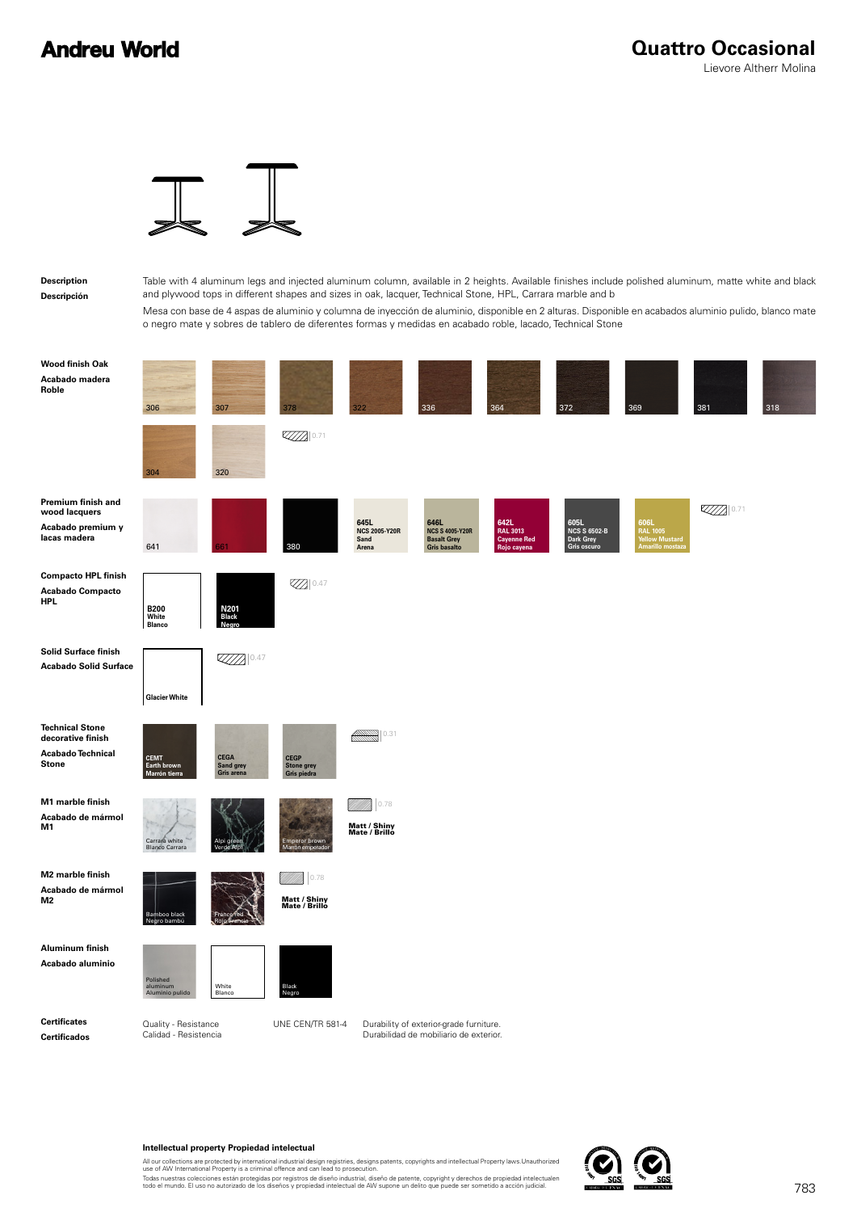### **Andreu World**



**Description Descripción** Table with 4 aluminum legs and injected aluminum column, available in 2 heights. Available finishes include polished aluminum, matte white and black and plywood tops in different shapes and sizes in oak, lacquer, Technical Stone, HPL, Carrara marble and b

Mesa con base de 4 aspas de aluminio y columna de inyección de aluminio, disponible en 2 alturas. Disponible en acabados aluminio pulido, blanco mate o negro mate y sobres de tablero de diferentes formas y medidas en acabado roble, lacado, Technical Stone

| <b>Wood finish Oak</b><br>Acabado madera<br>Roble                                       | 306                                           | 307                                     | 378                                             | 322                                           | 336                                                                               | 364                                                   | 372                                                     | 369                                                                   | 381  | 318 |
|-----------------------------------------------------------------------------------------|-----------------------------------------------|-----------------------------------------|-------------------------------------------------|-----------------------------------------------|-----------------------------------------------------------------------------------|-------------------------------------------------------|---------------------------------------------------------|-----------------------------------------------------------------------|------|-----|
|                                                                                         | 304                                           | 320                                     | 0.71                                            |                                               |                                                                                   |                                                       |                                                         |                                                                       |      |     |
| Premium finish and<br>wood lacquers<br>Acabado premium y<br>lacas madera                | 641                                           | 661                                     | 380                                             | 645L<br><b>NCS 2005-Y20R</b><br>Sand<br>Arena | 646L<br><b>NCS S 4005-Y20R</b><br><b>Basalt Grey</b><br>Gris basalto              | 642L<br><b>RAL 3013</b><br>Cayenne Red<br>Rojo cayena | 605L<br><b>NCS S 6502-B</b><br>Dark Grey<br>Gris oscuro | 606L<br><b>RAL 1005</b><br><i>l</i> ellow Mustard<br>Amarillo mostaza | 0.71 |     |
| <b>Compacto HPL finish</b><br><b>Acabado Compacto</b><br><b>HPL</b>                     | <b>B200</b><br>White<br><b>Blanco</b>         | N201<br>Black<br>Negro                  | <b>Z</b> 0.47                                   |                                               |                                                                                   |                                                       |                                                         |                                                                       |      |     |
| Solid Surface finish<br><b>Acabado Solid Surface</b>                                    | <b>Glacier White</b>                          | $\mathbb{Z} \mathbb{Z} \mathbb{Z}$ 0.47 |                                                 |                                               |                                                                                   |                                                       |                                                         |                                                                       |      |     |
| <b>Technical Stone</b><br>decorative finish<br><b>Acabado Technical</b><br><b>Stone</b> | <b>CEMT</b><br>Earth brown<br>Marrón tierra   | <b>CEGA</b><br>Sand grey<br>Gris arena  | <b>CEGP</b><br><b>Stone grey</b><br>Gris piedra | 0.31<br><b>ANDER</b>                          |                                                                                   |                                                       |                                                         |                                                                       |      |     |
| M1 marble finish<br>Acabado de mármol<br>M1                                             | Carrara white<br><b>Blanco Carrara</b>        |                                         | Emperor brown<br>ón emperado                    | 0.78<br>Matt / Shiny<br>Mate / Brillo         |                                                                                   |                                                       |                                                         |                                                                       |      |     |
| M2 marble finish<br>Acabado de mármol<br>M2                                             | Bamboo black<br>Negro bambú                   |                                         | 0.78<br>Matt / Shiny<br>Mate / Brillo           |                                               |                                                                                   |                                                       |                                                         |                                                                       |      |     |
| <b>Aluminum finish</b><br>Acabado aluminio                                              | Polished<br>aluminum<br>Aluminio pulido       | White<br>Blanco                         | Black<br>Negro                                  |                                               |                                                                                   |                                                       |                                                         |                                                                       |      |     |
| <b>Certificates</b><br><b>Certificados</b>                                              | Quality - Resistance<br>Calidad - Resistencia |                                         | UNE CEN/TR 581-4                                |                                               | Durability of exterior-grade furniture.<br>Durabilidad de mobiliario de exterior. |                                                       |                                                         |                                                                       |      |     |

#### **Intellectual property Propiedad intelectual**

All our collections are protected by international industrial design registries, designs patents, copyrights and intellectual Property laws.Unauthorized<br>use of AW International Property is a criminal offence and can lead t

Todas nuestras colecciones están protegidas por registros de diseño industrial, diseño de patente, copyright y derechos de propiedad intelectualen<br>todo el mundo. El uso no autorizado de los diseños y propiedad intelectual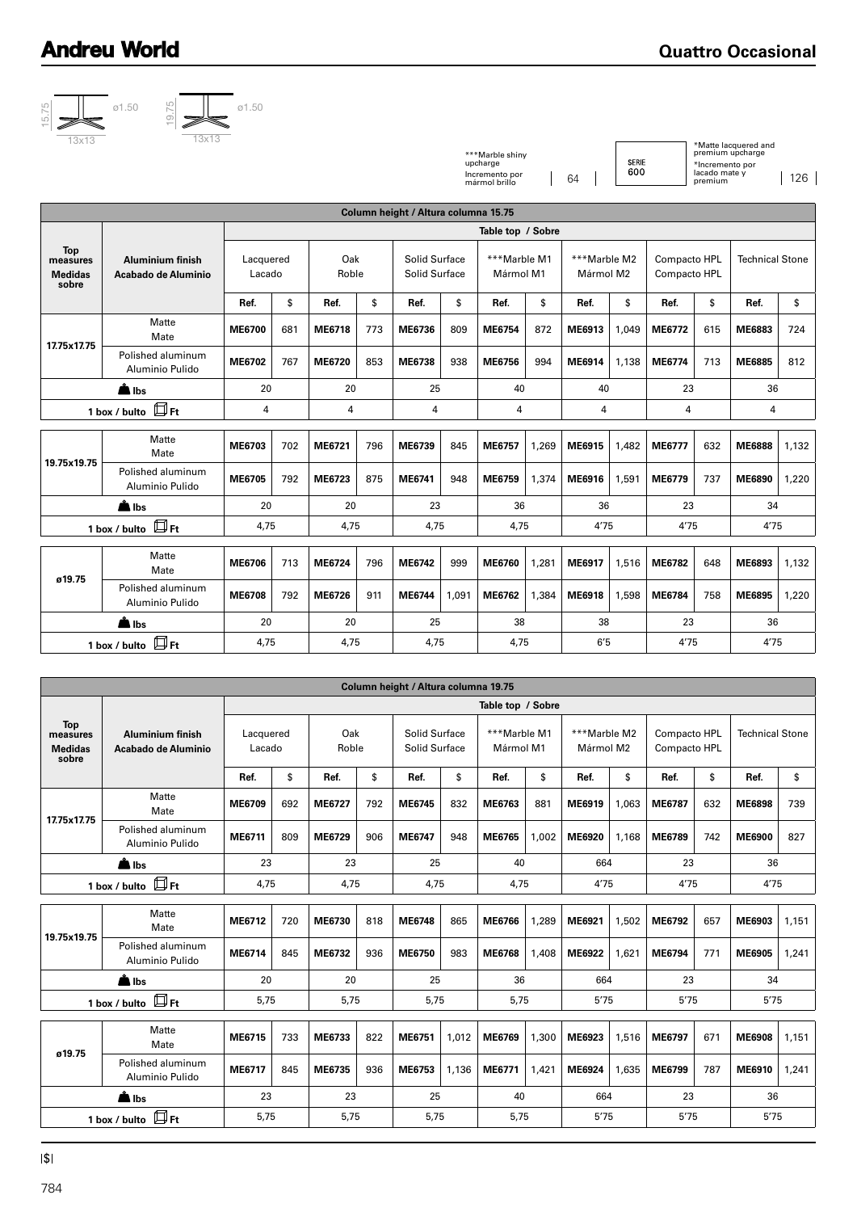## **Andreu World**







|                                                   | Column height / Altura columna 15.75           |                     |     |              |        |                                |       |                           |       |                           |       |                              |     |                        |       |
|---------------------------------------------------|------------------------------------------------|---------------------|-----|--------------|--------|--------------------------------|-------|---------------------------|-------|---------------------------|-------|------------------------------|-----|------------------------|-------|
|                                                   |                                                | Table top / Sobre   |     |              |        |                                |       |                           |       |                           |       |                              |     |                        |       |
| <b>Top</b><br>measures<br><b>Medidas</b><br>sobre | <b>Aluminium finish</b><br>Acabado de Aluminio | Lacquered<br>Lacado |     | Oak<br>Roble |        | Solid Surface<br>Solid Surface |       | ***Marble M1<br>Mármol M1 |       | ***Marble M2<br>Mármol M2 |       | Compacto HPL<br>Compacto HPL |     | <b>Technical Stone</b> |       |
|                                                   |                                                | Ref.                | \$  | Ref.         | \$     | Ref.                           | \$    | Ref.                      | \$    | Ref.                      | \$    | Ref.                         | \$  | Ref.                   | \$    |
| 17.75x17.75                                       | Matte<br>Mate                                  | <b>ME6700</b>       | 681 | ME6718       | 773    | ME6736                         | 809   | ME6754                    | 872   | ME6913                    | 1,049 | ME6772                       | 615 | ME6883                 | 724   |
|                                                   | Polished aluminum<br>Aluminio Pulido           | ME6702              | 767 | ME6720       | 853    | ME6738                         | 938   | ME6756                    | 994   | ME6914                    | 1,138 | ME6774                       | 713 | ME6885                 | 812   |
| <b>A</b> Ibs                                      |                                                | 20                  |     | 20           |        | 25                             |       | 40                        |       | 40                        |       | 23                           |     | 36                     |       |
|                                                   | 1 box / bulto $\Box$ Ft                        | 4                   |     |              | 4<br>4 |                                | 4     |                           | 4     |                           | 4     |                              | 4   |                        |       |
| 19.75x19.75                                       | Matte<br>Mate                                  | ME6703              | 702 | ME6721       | 796    | ME6739                         | 845   | ME6757                    | 1,269 | ME6915                    | 1.482 | ME6777                       | 632 | <b>ME6888</b>          | 1,132 |
|                                                   | Polished aluminum<br>Aluminio Pulido           | ME6705              | 792 | ME6723       | 875    | ME6741                         | 948   | ME6759                    | 1,374 | ME6916                    | 1,591 | ME6779                       | 737 | ME6890                 | 1,220 |
|                                                   | <b>A</b> Ibs                                   | 20                  |     | 20           |        | 23                             |       | 36                        |       | 36                        |       | 23                           |     | 34                     |       |
|                                                   | 1 box / bulto $\Box$ Ft                        | 4,75                |     | 4,75         |        | 4,75                           |       | 4,75                      |       | 4'75                      |       | 4'75                         |     | 4'75                   |       |
| ø19.75                                            | Matte<br>Mate                                  | <b>ME6706</b>       | 713 | ME6724       | 796    | ME6742                         | 999   | ME6760                    | 1,281 | ME6917                    | 1,516 | ME6782                       | 648 | ME6893                 | 1,132 |
|                                                   | Polished aluminum<br>Aluminio Pulido           | <b>ME6708</b>       | 792 | ME6726       | 911    | ME6744                         | 1,091 | ME6762                    | 1,384 | ME6918                    | 1,598 | ME6784                       | 758 | ME6895                 | 1,220 |
|                                                   | A Ibs                                          | 20                  |     | 20           |        | 25                             |       | 38                        |       | 38                        |       | 23                           |     | 36                     |       |
| 1 box / bulto $\Box$ Ft                           |                                                | 4,75                |     | 4,75         |        | 4,75                           |       | 4,75                      |       | 6'5                       |       | 4'75                         |     | 4'75                   |       |

| 15.75<br>13x13                                    | 19.75<br>Ì<br>13x13                            |                     |     |               |     |                                      |                   | ***Marble shiny<br>upcharge<br>Incremento por |       | 64                        | <b>SERIE</b><br>600 |                              | *Incremento por<br>lacado mate y | *Matte lacquered and<br>premium upcharge | 126   |
|---------------------------------------------------|------------------------------------------------|---------------------|-----|---------------|-----|--------------------------------------|-------------------|-----------------------------------------------|-------|---------------------------|---------------------|------------------------------|----------------------------------|------------------------------------------|-------|
|                                                   |                                                |                     |     |               |     |                                      |                   | mármol brillo                                 |       |                           |                     |                              | premium                          |                                          |       |
|                                                   |                                                |                     |     |               |     | Column height / Altura columna 15.75 |                   |                                               |       |                           |                     |                              |                                  |                                          |       |
|                                                   |                                                |                     |     |               |     |                                      |                   | Table top / Sobre                             |       |                           |                     |                              |                                  |                                          |       |
| <b>Top</b><br>measures<br><b>Medidas</b><br>sobre | <b>Aluminium finish</b><br>Acabado de Aluminio | Lacquered<br>Lacado |     | Oak<br>Roble  |     | Solid Surface<br>Solid Surface       |                   | ***Marble M1<br>Mármol M1                     |       | ***Marble M2<br>Mármol M2 |                     | Compacto HPL<br>Compacto HPL |                                  | <b>Technical Stone</b>                   |       |
|                                                   |                                                | Ref.                | \$  | Ref.          | \$  | Ref.                                 | \$                | Ref.                                          | \$    | Ref.                      | \$                  | Ref.                         | \$                               | Ref.                                     | \$    |
| 17.75x17.75                                       | Matte<br>Mate                                  | <b>ME6700</b>       | 681 | <b>ME6718</b> | 773 | ME6736                               | 809               | ME6754                                        | 872   | ME6913                    | 1,049               | ME6772                       | 615                              | ME6883                                   | 724   |
|                                                   | Polished aluminum<br>Aluminio Pulido           | ME6702              | 767 | <b>ME6720</b> | 853 | ME6738                               | 938               | ME6756                                        | 994   | ME6914                    | 1,138               | ME6774                       | 713                              | ME6885                                   | 812   |
|                                                   | Albs                                           | 20                  |     | 20            |     | 25                                   |                   | 40                                            |       | 40                        |                     | 23                           |                                  | 36                                       |       |
|                                                   | $\square$ Ft<br>1 box / bulto                  | 4                   |     | 4             |     | 4                                    |                   | 4                                             |       | 4                         |                     | 4                            |                                  | 4                                        |       |
|                                                   | Matte<br>Mate                                  | ME6703              | 702 | ME6721        | 796 | ME6739                               | 845               | ME6757                                        | 1,269 | ME6915                    | 1,482               | ME6777                       | 632                              | <b>ME6888</b>                            | 1,132 |
| 19.75x19.75                                       | Polished aluminum<br>Aluminio Pulido           | ME6705              | 792 | ME6723        | 875 | ME6741                               | 948               | ME6759                                        | 1,374 | ME6916                    | 1,591               | ME6779                       | 737                              | <b>ME6890</b>                            | 1,220 |
|                                                   | All Ibs                                        | 20                  |     | 20            |     | 23                                   |                   | 36                                            |       | 36                        |                     | 23                           |                                  | 34                                       |       |
|                                                   | $\square$ Ft<br>1 box / bulto                  | 4,75                |     | 4,75          |     | 4,75                                 |                   | 4,75                                          |       | 4'75                      |                     | 4'75                         |                                  | 4'75                                     |       |
| ø19.75                                            | Matte<br>Mate                                  | ME6706              | 713 | ME6724        | 796 | ME6742                               | 999               | ME6760                                        | 1,281 | ME6917                    | 1,516               | ME6782                       | 648                              | ME6893                                   | 1,132 |
|                                                   | Polished aluminum<br>Aluminio Pulido           | <b>ME6708</b>       | 792 | ME6726        | 911 | ME6744                               | 1,091             | ME6762                                        | 1,384 | ME6918                    | 1,598               | ME6784                       | 758                              | ME6895                                   | 1,220 |
| <b>A</b> lbs                                      |                                                | 20                  |     | 20            |     | 25                                   |                   | 38                                            |       | 38                        |                     | 23                           |                                  | 36                                       |       |
|                                                   | $\square$ Ft<br>1 box / bulto                  | 4,75                |     | 4,75          |     | 4,75                                 |                   | 6'5<br>4,75                                   |       |                           | 4'75                |                              | 4'75                             |                                          |       |
|                                                   |                                                |                     |     |               |     |                                      |                   |                                               |       |                           |                     |                              |                                  |                                          |       |
|                                                   |                                                |                     |     |               |     | Column height / Altura columna 19.75 |                   |                                               |       |                           |                     |                              |                                  |                                          |       |
|                                                   |                                                |                     |     |               |     |                                      | Table top / Sobre |                                               |       |                           |                     |                              |                                  |                                          |       |
| <b>Top</b><br>measures<br><b>Medidas</b><br>sobre | <b>Aluminium finish</b><br>Acabado de Aluminio | Lacquered<br>Lacado |     | Oak<br>Roble  |     | Solid Surface<br>Solid Surface       |                   | ***Marble M1<br>Mármol M1                     |       | ***Marble M2<br>Mármol M2 |                     | Compacto HPL<br>Compacto HPL |                                  | <b>Technical Stone</b>                   |       |
|                                                   |                                                | Ref.                | \$  | Ref.          | \$  | Ref.                                 | \$                | Ref.                                          | \$    | Ref.                      | \$                  | Ref.                         | \$                               | Ref.                                     | \$    |
| 17.75x17.75                                       | Matte<br>Mate                                  | ME6709              | 692 | ME6727        | 792 | ME6745                               | 832               | ME6763                                        | 881   | ME6919                    | 1,063               | ME6787                       | 632                              | <b>ME6898</b>                            | 739   |
|                                                   | Polished aluminum<br>Aluminio Pulido           | ME6711              | 809 | ME6729        | 906 | ME6747                               | 948               | ME6765                                        | 1,002 | ME6920                    | 1,168               | ME6789                       | 742                              | <b>ME6900</b>                            | 827   |
|                                                   | <b>A</b> lbs                                   | 23                  |     | 23            |     | 25                                   |                   | 40                                            |       | 664                       |                     | 23                           |                                  | 36                                       |       |
|                                                   | 1 box / bulto $\Box$ Ft                        | 4,75                |     | 4,75          |     | 4,75                                 |                   | 4,75                                          |       | 4'75                      |                     | 4'75                         |                                  | 4'75                                     |       |
|                                                   | Matte<br>Mate                                  | ME6712              | 720 | ME6730        | 818 | <b>ME6748</b>                        | 865               | ME6766                                        | 1,289 | ME6921                    | 1,502               | ME6792                       | 657                              | ME6903                                   | 1,151 |
| 19.75x19.75                                       | Polished aluminum<br>Aluminio Pulido           | ME6714              | 845 | ME6732        | 936 | <b>ME6750</b>                        | 983               | <b>ME6768</b>                                 | 1,408 | ME6922                    | 1,621               | ME6794                       | 771                              | <b>ME6905</b>                            | 1,241 |
|                                                   | <b>A</b> lbs                                   | 20                  |     | 20            |     | 25                                   |                   | 36                                            |       | 664                       |                     | 23                           |                                  | 34                                       |       |
|                                                   | 1 box / bulto $\Box$ Ft                        | 5,75                |     | 5,75          |     | 5,75                                 |                   | 5,75                                          |       | 5'75                      |                     | 5'75                         |                                  | 5'75                                     |       |
| ø19.75                                            | Matte<br>Mate                                  | ME6715              | 733 | ME6733        | 822 | ME6751                               | 1,012             | ME6769                                        | 1,300 | ME6923                    | 1,516               | ME6797                       | 671                              | <b>ME6908</b>                            | 1,151 |
|                                                   | Polished aluminum<br>Aluminio Pulido           | ME6717              | 845 | ME6735        | 936 | <b>ME6753</b>                        | 1,136             | ME6771                                        | 1,421 | ME6924                    | 1,635               | ME6799                       | 787                              | ME6910                                   | 1,241 |
|                                                   | <b>A</b> lbs                                   | 23                  |     | 23            |     | 25                                   |                   | 40                                            |       | 664                       |                     | 23                           |                                  | 36                                       |       |
|                                                   | 1 box / bulto $\Box$ Ft                        | 5,75                |     | 5,75          |     | 5,75                                 |                   | 5,75                                          |       | 5'75                      |                     | 5'75                         |                                  | 5′75                                     |       |
| 3                                                 |                                                |                     |     |               |     |                                      |                   |                                               |       |                           |                     |                              |                                  |                                          |       |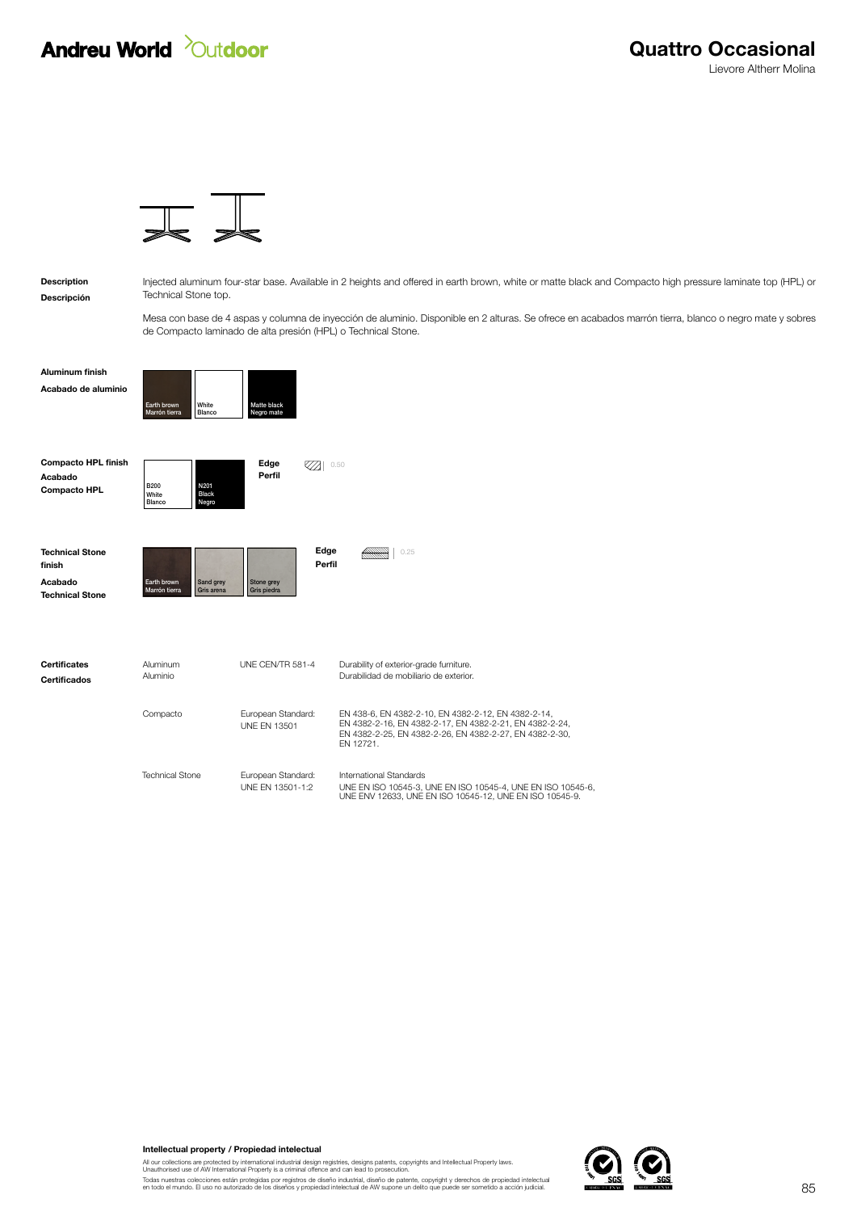## **Andreu World** *Quidoor*

Descripción Description

Injected aluminum four-star base. Available in 2 heights and offered in earth brown, white or matte black and Compacto high pressure laminate top (HPL) or Technical Stone top.

Mesa con base de 4 aspas y columna de inyección de aluminio. Disponible en 2 alturas. Se ofrece en acabados marrón tierra, blanco o negro mate y sobres de Compacto laminado de alta presión (HPL) o Technical Stone.

Acabado de aluminio Aluminum finish



| <b>Compacto HPL finish</b><br>Acabado<br><b>Compacto HPL</b>          | <b>B200</b><br>White<br>Blanco | N201<br><b>Black</b><br>Negro | Edge<br>Perfil            |                | 0.50                                                                              |
|-----------------------------------------------------------------------|--------------------------------|-------------------------------|---------------------------|----------------|-----------------------------------------------------------------------------------|
| <b>Technical Stone</b><br>finish<br>Acabado<br><b>Technical Stone</b> | Earth brown<br>Marrón tierra   | Sand grey<br>Gris arena       | Stone grey<br>Gris piedra | Edge<br>Perfil | 0.25                                                                              |
| <b>Certificates</b><br><b>Certificados</b>                            | Aluminum<br>Aluminio           |                               | UNE CEN/TR 581-4          |                | Durability of exterior-grade furniture.<br>Durabilidad de mobiliario de exterior. |

EN 438-6, EN 4382-2-10, EN 4382-2-12, EN 4382-2-14, EN 4382-2-16, EN 4382-2-17, EN 4382-2-21, EN 4382-2-24, EN 4382-2-25, EN 4382-2-26, EN 4382-2-27, EN 4382-2-30, EN 12721. European Standard: UNE EN 13501 Compacto International Standards UNE EN ISO 10545-3, UNE EN ISO 10545-4, UNE EN ISO 10545-6, UNE ENV 12633, UNE EN ISO 10545-12, UNE EN ISO 10545-9. European Standard: UNE EN 13501-1:2 Technical Stone

Intellectual property / Propiedad intelectual

All our collections are protected by international industrial design registries, designs patents, copyrights and Intellectual Property laws.<br>Unauthorised use of AW International Property is a criminal offence and can lead

Todas nuestras colecciones están protegidas por registros de diseño industrial, diseño de patente, copyright y derechos de propiedad intelectual<br>en todo el mundo. El uso no autorizado de los diseños y propiedad intelectual